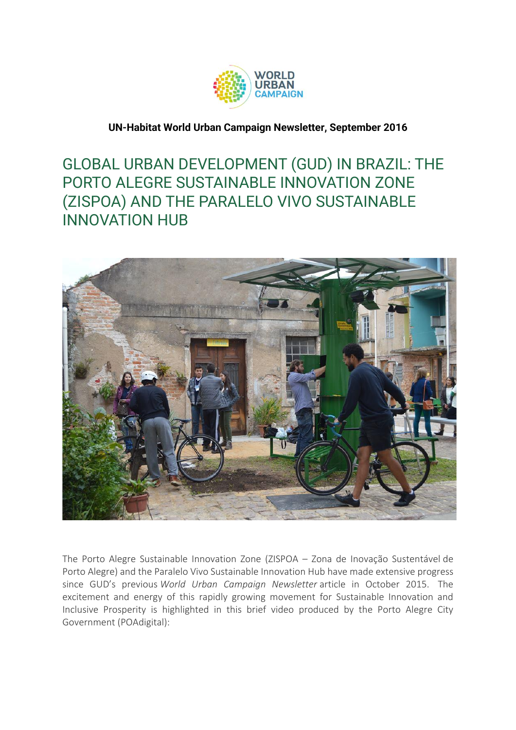

## **UN-Habitat World Urban Campaign Newsletter, September 2016**

## GLOBAL URBAN DEVELOPMENT (GUD) IN BRAZIL: THE PORTO ALEGRE SUSTAINABLE INNOVATION ZONE (ZISPOA) AND THE PARALELO VIVO SUSTAINABLE INNOVATION HUB



The Porto Alegre Sustainable Innovation Zone (ZISPOA – Zona de Inovação Sustentável de Porto Alegre) and the Paralelo Vivo Sustainable Innovation Hub have made extensive progress since GUD's previous *World Urban Campaign Newsletter* article in October 2015. The excitement and energy of this rapidly growing movement for Sustainable Innovation and Inclusive Prosperity is highlighted in this brief video produced by the Porto Alegre City Government (POAdigital):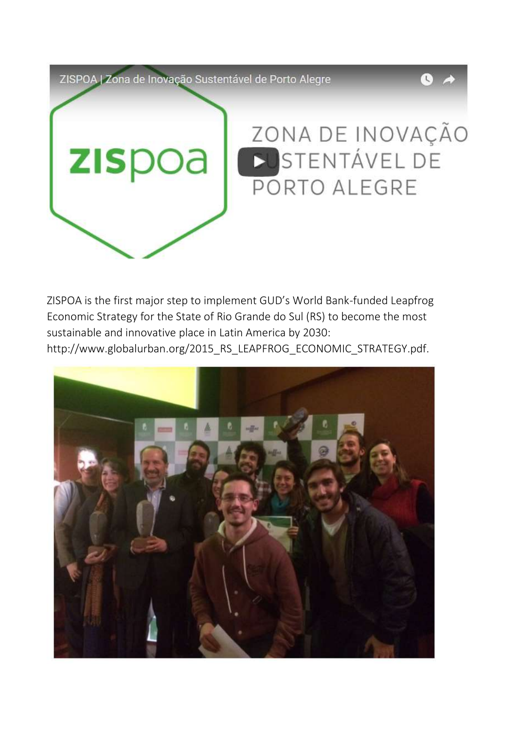ZISPOA | Zona de Inovação Sustentável de Porto Alegre



 $\overline{C}$ 

ZISPOA is the first major step to implement GUD's World Bank-funded Leapfrog Economic Strategy for the State of Rio Grande do Sul (RS) to become the most sustainable and innovative place in Latin America by 2030: http://www.globalurban.org/2015\_RS\_LEAPFROG\_ECONOMIC\_STRATEGY.pdf.

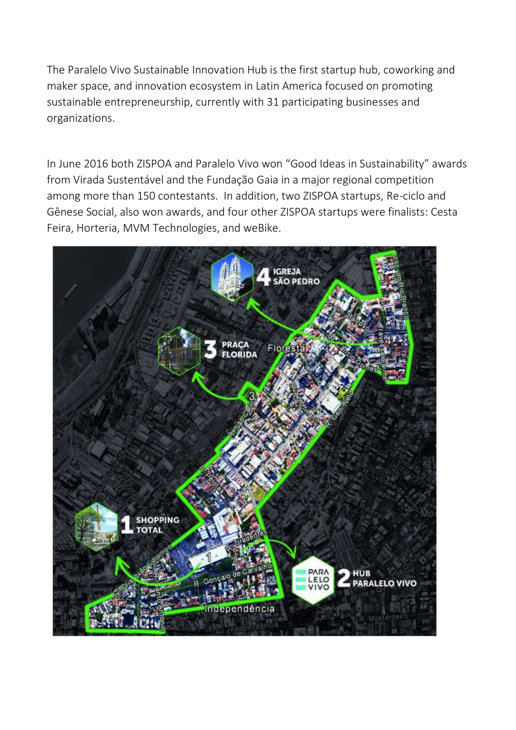The Paralelo Vivo Sustainable Innovation Hub is the first startup hub, coworking and maker space, and innovation ecosystem in Latin America focused on promoting sustainable entrepreneurship, currently with 31 participating businesses and organizations.

In June 2016 both ZISPOA and Paralelo Vivo won "Good Ideas in Sustainability" awards from Virada Sustentável and the Fundação Gaia in a major regional competition among more than 150 contestants. In addition, two ZISPOA startups, Re-ciclo and Gênese Social, also won awards, and four other ZISPOA startups were finalists: Cesta Feira, Horteria, MVM Technologies, and weBike.

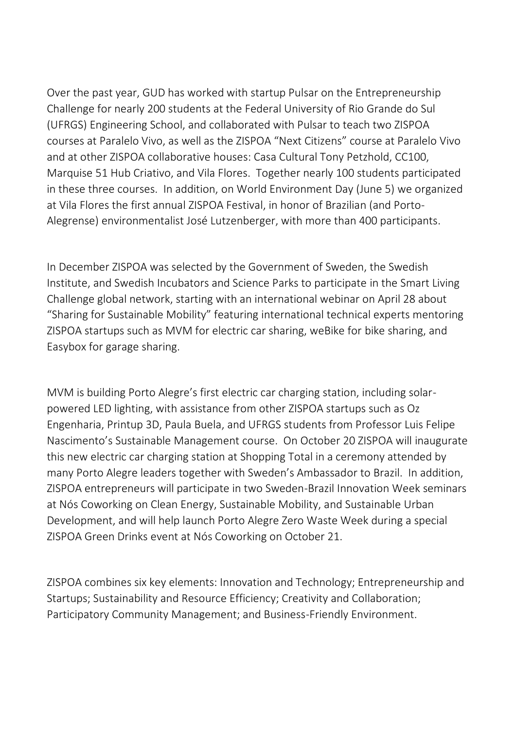Over the past year, GUD has worked with startup Pulsar on the Entrepreneurship Challenge for nearly 200 students at the Federal University of Rio Grande do Sul (UFRGS) Engineering School, and collaborated with Pulsar to teach two ZISPOA courses at Paralelo Vivo, as well as the ZISPOA "Next Citizens" course at Paralelo Vivo and at other ZISPOA collaborative houses: Casa Cultural Tony Petzhold, CC100, Marquise 51 Hub Criativo, and Vila Flores. Together nearly 100 students participated in these three courses. In addition, on World Environment Day (June 5) we organized at Vila Flores the first annual ZISPOA Festival, in honor of Brazilian (and Porto-Alegrense) environmentalist José Lutzenberger, with more than 400 participants.

In December ZISPOA was selected by the Government of Sweden, the Swedish Institute, and Swedish Incubators and Science Parks to participate in the Smart Living Challenge global network, starting with an international webinar on April 28 about "Sharing for Sustainable Mobility" featuring international technical experts mentoring ZISPOA startups such as MVM for electric car sharing, weBike for bike sharing, and Easybox for garage sharing.

MVM is building Porto Alegre's first electric car charging station, including solarpowered LED lighting, with assistance from other ZISPOA startups such as Oz Engenharia, Printup 3D, Paula Buela, and UFRGS students from Professor Luis Felipe Nascimento's Sustainable Management course. On October 20 ZISPOA will inaugurate this new electric car charging station at Shopping Total in a ceremony attended by many Porto Alegre leaders together with Sweden's Ambassador to Brazil. In addition, ZISPOA entrepreneurs will participate in two Sweden-Brazil Innovation Week seminars at Nós Coworking on Clean Energy, Sustainable Mobility, and Sustainable Urban Development, and will help launch Porto Alegre Zero Waste Week during a special ZISPOA Green Drinks event at Nós Coworking on October 21.

ZISPOA combines six key elements: Innovation and Technology; Entrepreneurship and Startups; Sustainability and Resource Efficiency; Creativity and Collaboration; Participatory Community Management; and Business-Friendly Environment.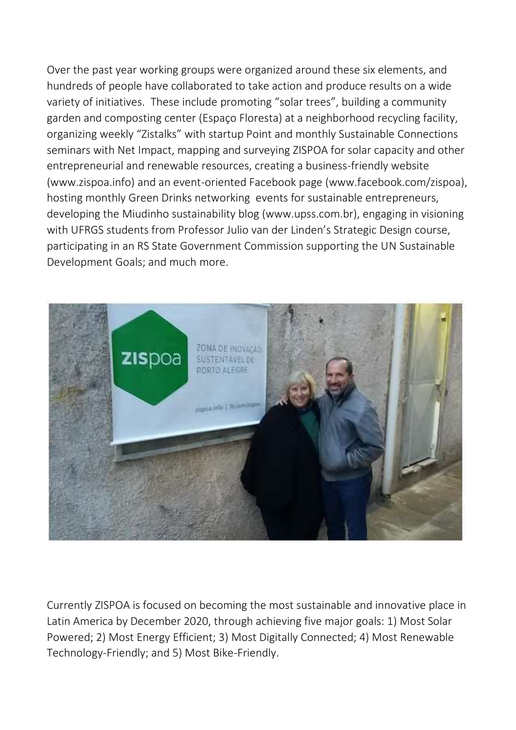Over the past year working groups were organized around these six elements, and hundreds of people have collaborated to take action and produce results on a wide variety of initiatives. These include promoting "solar trees", building a community garden and composting center (Espaço Floresta) at a neighborhood recycling facility, organizing weekly "Zistalks" with startup Point and monthly Sustainable Connections seminars with Net Impact, mapping and surveying ZISPOA for solar capacity and other entrepreneurial and renewable resources, creating a business-friendly website (www.zispoa.info) and an event-oriented Facebook page (www.facebook.com/zispoa), hosting monthly Green Drinks networking events for sustainable entrepreneurs, developing the Miudinho sustainability blog (www.upss.com.br), engaging in visioning with UFRGS students from Professor Julio van der Linden's Strategic Design course, participating in an RS State Government Commission supporting the UN Sustainable Development Goals; and much more.



Currently ZISPOA is focused on becoming the most sustainable and innovative place in Latin America by December 2020, through achieving five major goals: 1) Most Solar Powered; 2) Most Energy Efficient; 3) Most Digitally Connected; 4) Most Renewable Technology-Friendly; and 5) Most Bike-Friendly.